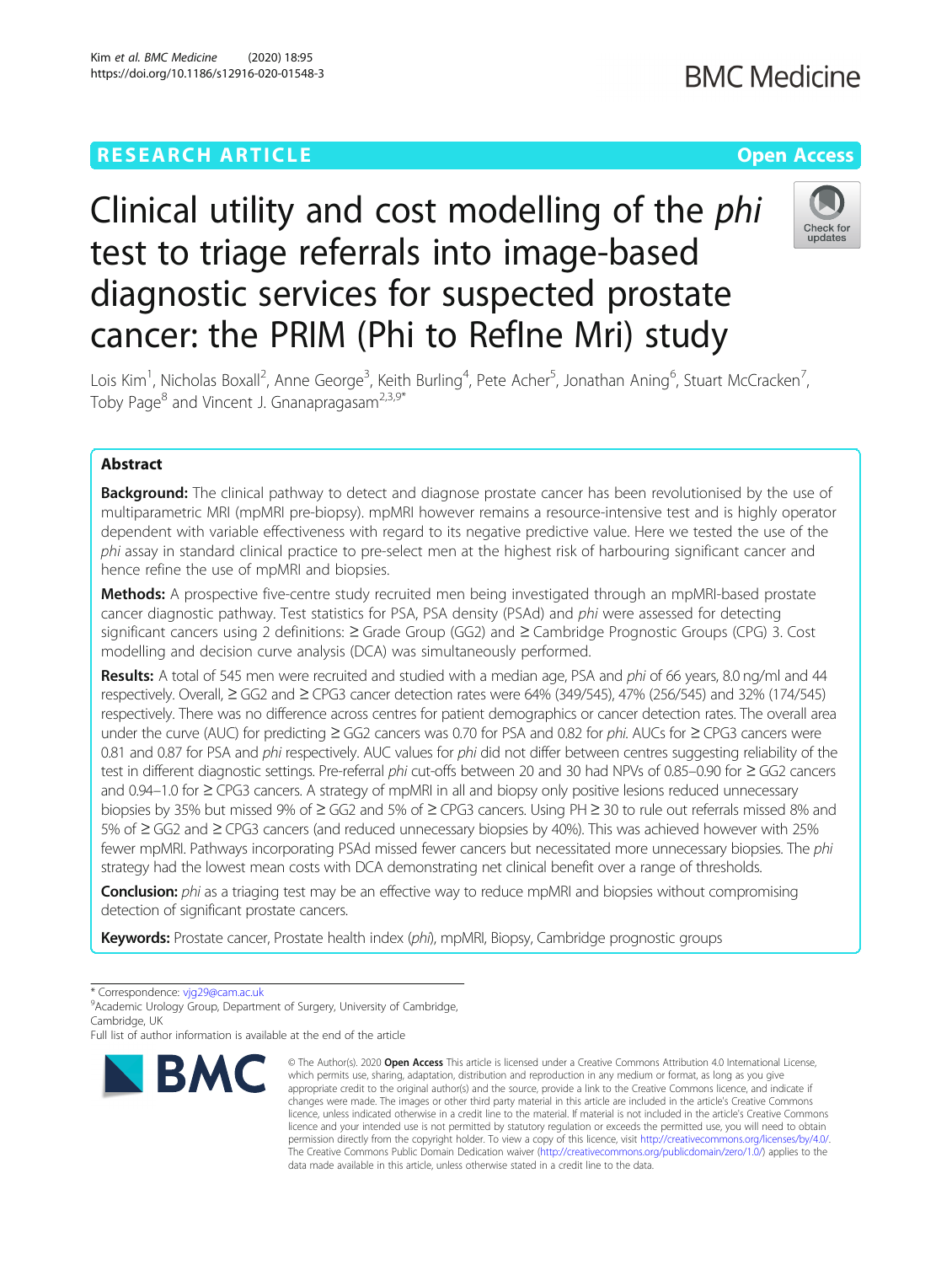### **RESEARCH ARTICLE Example 2014 12:30 The Company Access** (COMPANY) **Open Access**

## **BMC Medicine**

# Clinical utility and cost modelling of the phi test to triage referrals into image-based diagnostic services for suspected prostate cancer: the PRIM (Phi to RefIne Mri) study



Lois Kim<sup>1</sup>, Nicholas Boxall<sup>2</sup>, Anne George<sup>3</sup>, Keith Burling<sup>4</sup>, Pete Acher<sup>5</sup>, Jonathan Aning<sup>6</sup>, Stuart McCracken<sup>7</sup> , Toby Page<sup>8</sup> and Vincent J. Gnanapragasam<sup>2,3,9\*</sup>

### Abstract

**Background:** The clinical pathway to detect and diagnose prostate cancer has been revolutionised by the use of multiparametric MRI (mpMRI pre-biopsy). mpMRI however remains a resource-intensive test and is highly operator dependent with variable effectiveness with regard to its negative predictive value. Here we tested the use of the phi assay in standard clinical practice to pre-select men at the highest risk of harbouring significant cancer and hence refine the use of mpMRI and biopsies.

Methods: A prospective five-centre study recruited men being investigated through an mpMRI-based prostate cancer diagnostic pathway. Test statistics for PSA, PSA density (PSAd) and phi were assessed for detecting significant cancers using 2 definitions: ≥ Grade Group (GG2) and ≥ Cambridge Prognostic Groups (CPG) 3. Cost modelling and decision curve analysis (DCA) was simultaneously performed.

Results: A total of 545 men were recruited and studied with a median age, PSA and phi of 66 years, 8.0 ng/ml and 44 respectively. Overall, ≥ GG2 and ≥ CPG3 cancer detection rates were 64% (349/545), 47% (256/545) and 32% (174/545) respectively. There was no difference across centres for patient demographics or cancer detection rates. The overall area under the curve (AUC) for predicting ≥ GG2 cancers was 0.70 for PSA and 0.82 for phi. AUCs for ≥ CPG3 cancers were 0.81 and 0.87 for PSA and *phi* respectively. AUC values for *phi* did not differ between centres suggesting reliability of the test in different diagnostic settings. Pre-referral phi cut-offs between 20 and 30 had NPVs of 0.85–0.90 for ≥ GG2 cancers and 0.94–1.0 for ≥ CPG3 cancers. A strategy of mpMRI in all and biopsy only positive lesions reduced unnecessary biopsies by 35% but missed 9% of ≥ GG2 and 5% of ≥ CPG3 cancers. Using PH ≥ 30 to rule out referrals missed 8% and 5% of ≥ GG2 and ≥ CPG3 cancers (and reduced unnecessary biopsies by 40%). This was achieved however with 25% fewer mpMRI. Pathways incorporating PSAd missed fewer cancers but necessitated more unnecessary biopsies. The phi strategy had the lowest mean costs with DCA demonstrating net clinical benefit over a range of thresholds.

Conclusion: phi as a triaging test may be an effective way to reduce mpMRI and biopsies without compromising detection of significant prostate cancers.

Keywords: Prostate cancer, Prostate health index (phi), mpMRI, Biopsy, Cambridge prognostic groups

\* Correspondence: [vjg29@cam.ac.uk](mailto:vjg29@cam.ac.uk) <sup>9</sup>

<sup>9</sup> Academic Urology Group, Department of Surgery, University of Cambridge, Cambridge, UK

Full list of author information is available at the end of the article



<sup>©</sup> The Author(s), 2020 **Open Access** This article is licensed under a Creative Commons Attribution 4.0 International License, which permits use, sharing, adaptation, distribution and reproduction in any medium or format, as long as you give appropriate credit to the original author(s) and the source, provide a link to the Creative Commons licence, and indicate if changes were made. The images or other third party material in this article are included in the article's Creative Commons licence, unless indicated otherwise in a credit line to the material. If material is not included in the article's Creative Commons licence and your intended use is not permitted by statutory regulation or exceeds the permitted use, you will need to obtain permission directly from the copyright holder. To view a copy of this licence, visit [http://creativecommons.org/licenses/by/4.0/.](http://creativecommons.org/licenses/by/4.0/) The Creative Commons Public Domain Dedication waiver [\(http://creativecommons.org/publicdomain/zero/1.0/](http://creativecommons.org/publicdomain/zero/1.0/)) applies to the data made available in this article, unless otherwise stated in a credit line to the data.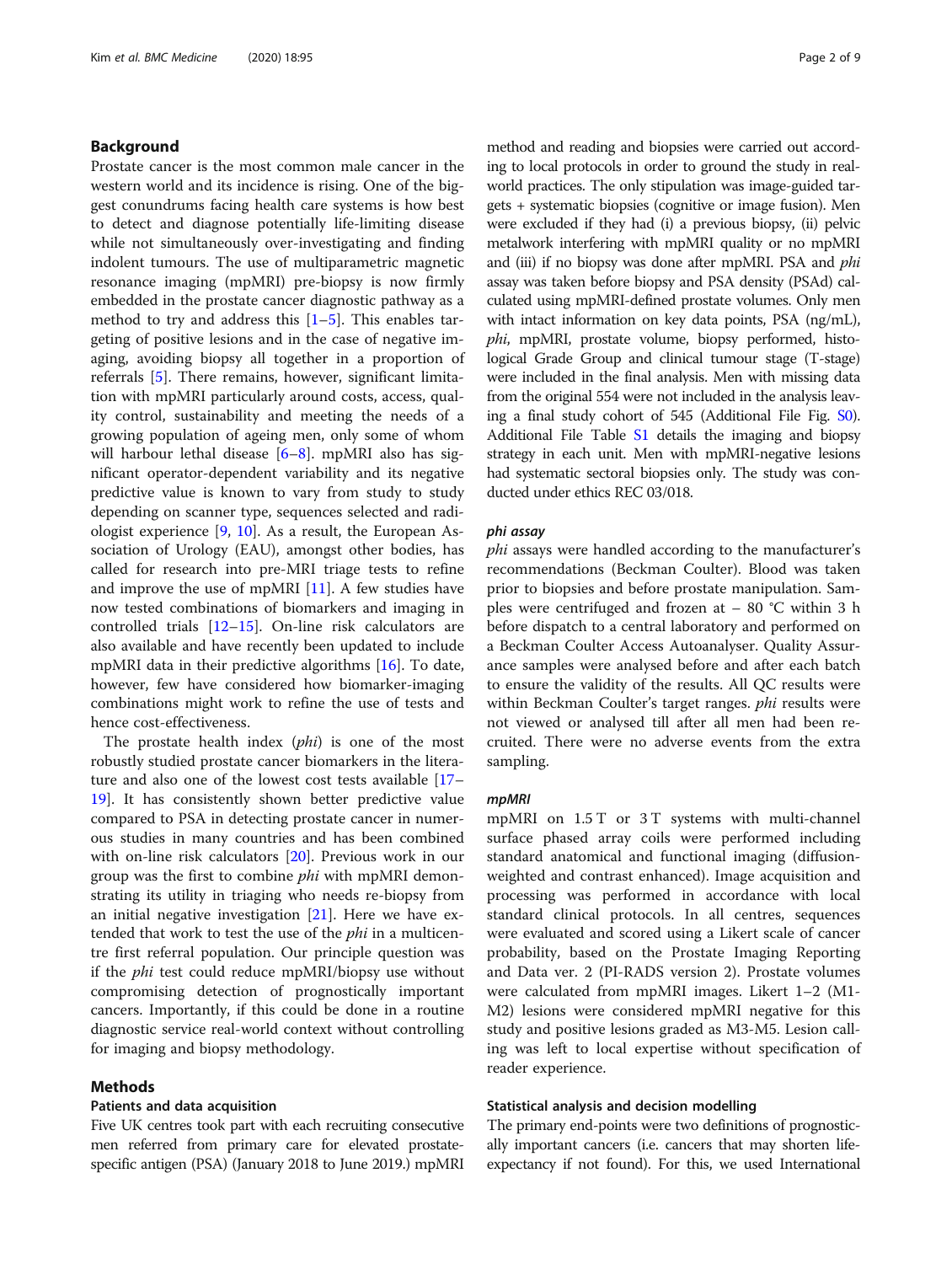#### Background

Prostate cancer is the most common male cancer in the western world and its incidence is rising. One of the biggest conundrums facing health care systems is how best to detect and diagnose potentially life-limiting disease while not simultaneously over-investigating and finding indolent tumours. The use of multiparametric magnetic resonance imaging (mpMRI) pre-biopsy is now firmly embedded in the prostate cancer diagnostic pathway as a method to try and address this  $[1–5]$  $[1–5]$  $[1–5]$  $[1–5]$  $[1–5]$ . This enables targeting of positive lesions and in the case of negative imaging, avoiding biopsy all together in a proportion of referrals [\[5](#page-7-0)]. There remains, however, significant limitation with mpMRI particularly around costs, access, quality control, sustainability and meeting the needs of a growing population of ageing men, only some of whom will harbour lethal disease [[6](#page-7-0)–[8\]](#page-7-0). mpMRI also has significant operator-dependent variability and its negative predictive value is known to vary from study to study depending on scanner type, sequences selected and radiologist experience [\[9](#page-7-0), [10\]](#page-7-0). As a result, the European Association of Urology (EAU), amongst other bodies, has called for research into pre-MRI triage tests to refine and improve the use of mpMRI  $[11]$  $[11]$ . A few studies have now tested combinations of biomarkers and imaging in controlled trials  $[12-15]$  $[12-15]$  $[12-15]$ . On-line risk calculators are also available and have recently been updated to include mpMRI data in their predictive algorithms [\[16](#page-7-0)]. To date, however, few have considered how biomarker-imaging combinations might work to refine the use of tests and hence cost-effectiveness.

The prostate health index (*phi*) is one of the most robustly studied prostate cancer biomarkers in the literature and also one of the lowest cost tests available [[17](#page-7-0)– [19\]](#page-8-0). It has consistently shown better predictive value compared to PSA in detecting prostate cancer in numerous studies in many countries and has been combined with on-line risk calculators [[20\]](#page-8-0). Previous work in our group was the first to combine phi with mpMRI demonstrating its utility in triaging who needs re-biopsy from an initial negative investigation [\[21](#page-8-0)]. Here we have extended that work to test the use of the phi in a multicentre first referral population. Our principle question was if the phi test could reduce mpMRI/biopsy use without compromising detection of prognostically important cancers. Importantly, if this could be done in a routine diagnostic service real-world context without controlling for imaging and biopsy methodology.

#### Methods

#### Patients and data acquisition

Five UK centres took part with each recruiting consecutive men referred from primary care for elevated prostatespecific antigen (PSA) (January 2018 to June 2019.) mpMRI method and reading and biopsies were carried out according to local protocols in order to ground the study in realworld practices. The only stipulation was image-guided targets + systematic biopsies (cognitive or image fusion). Men were excluded if they had (i) a previous biopsy, (ii) pelvic metalwork interfering with mpMRI quality or no mpMRI and (iii) if no biopsy was done after mpMRI. PSA and *phi* assay was taken before biopsy and PSA density (PSAd) calculated using mpMRI-defined prostate volumes. Only men with intact information on key data points, PSA (ng/mL), phi, mpMRI, prostate volume, biopsy performed, histological Grade Group and clinical tumour stage (T-stage) were included in the final analysis. Men with missing data from the original 554 were not included in the analysis leaving a final study cohort of 545 (Additional File Fig. [S0](#page-7-0)). Additional File Table [S1](#page-7-0) details the imaging and biopsy strategy in each unit. Men with mpMRI-negative lesions had systematic sectoral biopsies only. The study was conducted under ethics REC 03/018.

#### phi assay

phi assays were handled according to the manufacturer's recommendations (Beckman Coulter). Blood was taken prior to biopsies and before prostate manipulation. Samples were centrifuged and frozen at – 80 °C within 3 h before dispatch to a central laboratory and performed on a Beckman Coulter Access Autoanalyser. Quality Assurance samples were analysed before and after each batch to ensure the validity of the results. All QC results were within Beckman Coulter's target ranges. phi results were not viewed or analysed till after all men had been recruited. There were no adverse events from the extra sampling.

#### mpMRI

mpMRI on 1.5 T or 3 T systems with multi-channel surface phased array coils were performed including standard anatomical and functional imaging (diffusionweighted and contrast enhanced). Image acquisition and processing was performed in accordance with local standard clinical protocols. In all centres, sequences were evaluated and scored using a Likert scale of cancer probability, based on the Prostate Imaging Reporting and Data ver. 2 (PI-RADS version 2). Prostate volumes were calculated from mpMRI images. Likert 1–2 (M1- M2) lesions were considered mpMRI negative for this study and positive lesions graded as M3-M5. Lesion calling was left to local expertise without specification of reader experience.

#### Statistical analysis and decision modelling

The primary end-points were two definitions of prognostically important cancers (i.e. cancers that may shorten lifeexpectancy if not found). For this, we used International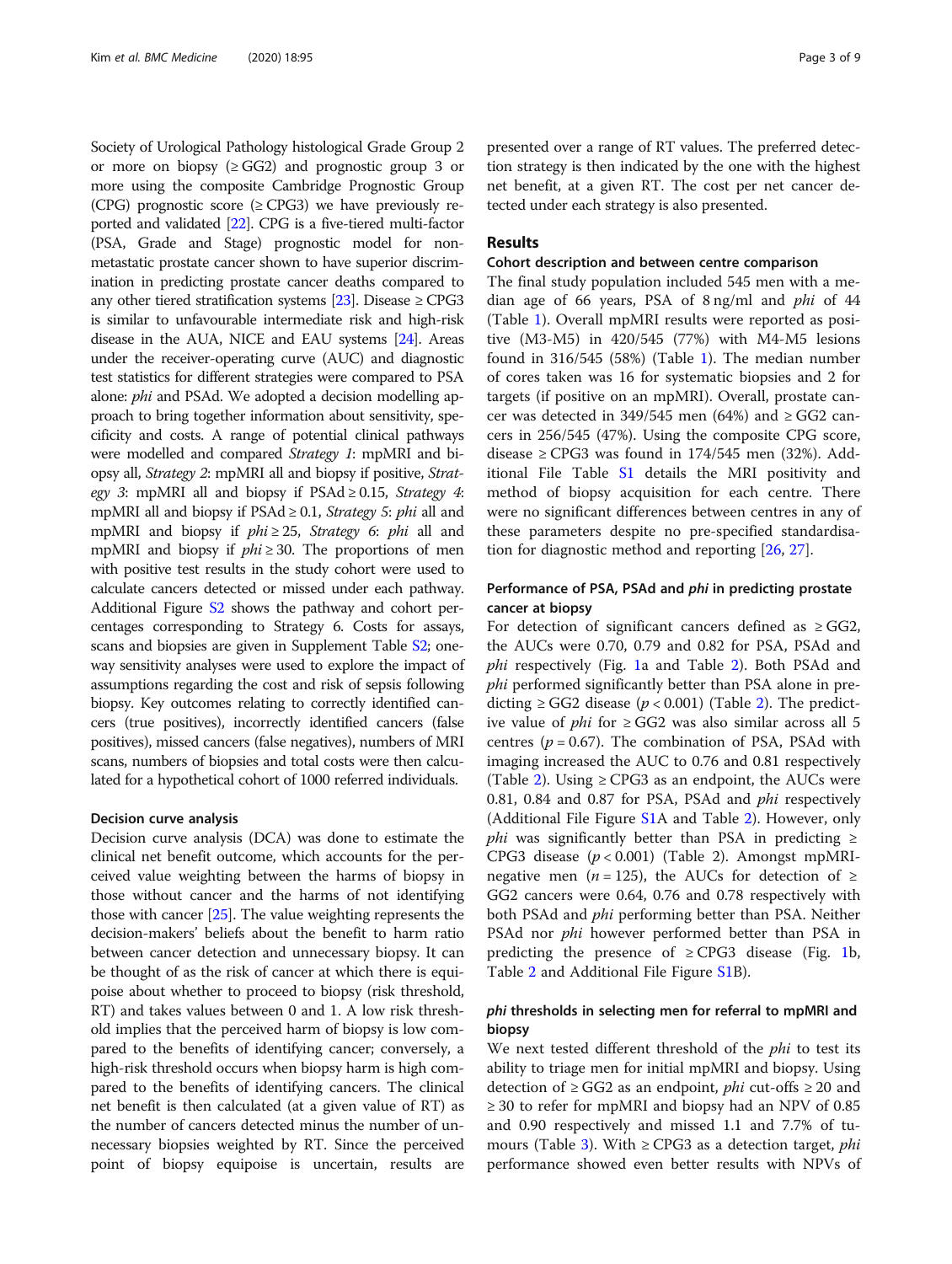Society of Urological Pathology histological Grade Group 2 or more on biopsy ( $\geq$  GG2) and prognostic group 3 or more using the composite Cambridge Prognostic Group (CPG) prognostic score ( $\geq$ CPG3) we have previously reported and validated [\[22\]](#page-8-0). CPG is a five-tiered multi-factor (PSA, Grade and Stage) prognostic model for nonmetastatic prostate cancer shown to have superior discrimination in predicting prostate cancer deaths compared to any other tiered stratification systems [\[23\]](#page-8-0). Disease  $\geq$  CPG3 is similar to unfavourable intermediate risk and high-risk disease in the AUA, NICE and EAU systems [\[24\]](#page-8-0). Areas under the receiver-operating curve (AUC) and diagnostic test statistics for different strategies were compared to PSA alone: phi and PSAd. We adopted a decision modelling approach to bring together information about sensitivity, specificity and costs. A range of potential clinical pathways were modelled and compared Strategy 1: mpMRI and biopsy all, Strategy 2: mpMRI all and biopsy if positive, Strategy 3: mpMRI all and biopsy if  $PSAd \ge 0.15$ , *Strategy 4*: mpMRI all and biopsy if  $PSAd \geq 0.1$ , *Strategy 5: phi* all and mpMRI and biopsy if  $phi \geq 25$ , Strategy 6: phi all and mpMRI and biopsy if  $phi \geq 30$ . The proportions of men with positive test results in the study cohort were used to calculate cancers detected or missed under each pathway. Additional Figure [S2](#page-7-0) shows the pathway and cohort percentages corresponding to Strategy 6. Costs for assays, scans and biopsies are given in Supplement Table [S2](#page-7-0); oneway sensitivity analyses were used to explore the impact of assumptions regarding the cost and risk of sepsis following biopsy. Key outcomes relating to correctly identified cancers (true positives), incorrectly identified cancers (false positives), missed cancers (false negatives), numbers of MRI scans, numbers of biopsies and total costs were then calculated for a hypothetical cohort of 1000 referred individuals.

#### Decision curve analysis

Decision curve analysis (DCA) was done to estimate the clinical net benefit outcome, which accounts for the perceived value weighting between the harms of biopsy in those without cancer and the harms of not identifying those with cancer [[25\]](#page-8-0). The value weighting represents the decision-makers' beliefs about the benefit to harm ratio between cancer detection and unnecessary biopsy. It can be thought of as the risk of cancer at which there is equipoise about whether to proceed to biopsy (risk threshold, RT) and takes values between 0 and 1. A low risk threshold implies that the perceived harm of biopsy is low compared to the benefits of identifying cancer; conversely, a high-risk threshold occurs when biopsy harm is high compared to the benefits of identifying cancers. The clinical net benefit is then calculated (at a given value of RT) as the number of cancers detected minus the number of unnecessary biopsies weighted by RT. Since the perceived point of biopsy equipoise is uncertain, results are presented over a range of RT values. The preferred detection strategy is then indicated by the one with the highest net benefit, at a given RT. The cost per net cancer detected under each strategy is also presented.

#### Results

#### Cohort description and between centre comparison

The final study population included 545 men with a median age of 66 years, PSA of 8 ng/ml and phi of 44 (Table [1](#page-3-0)). Overall mpMRI results were reported as positive (M3-M5) in 420/545 (77%) with M4-M5 lesions found in 316/545 (58%) (Table [1](#page-3-0)). The median number of cores taken was 16 for systematic biopsies and 2 for targets (if positive on an mpMRI). Overall, prostate cancer was detected in 349/545 men (64%) and  $\geq$  GG2 cancers in 256/545 (47%). Using the composite CPG score, disease ≥ CPG3 was found in  $174/545$  men (32%). Additional File Table [S1](#page-7-0) details the MRI positivity and method of biopsy acquisition for each centre. There were no significant differences between centres in any of these parameters despite no pre-specified standardisation for diagnostic method and reporting [\[26,](#page-8-0) [27\]](#page-8-0).

#### Performance of PSA, PSAd and phi in predicting prostate cancer at biopsy

For detection of significant cancers defined as  $\geq$  GG2, the AUCs were 0.70, 0.79 and 0.82 for PSA, PSAd and phi respectively (Fig. [1](#page-4-0)a and Table [2](#page-5-0)). Both PSAd and phi performed significantly better than PSA alone in predicting  $\geq$  GG[2](#page-5-0) disease ( $p$  < 0.001) (Table 2). The predictive value of *phi* for  $\geq$  GG2 was also similar across all 5 centres ( $p = 0.67$ ). The combination of PSA, PSAd with imaging increased the AUC to 0.76 and 0.81 respectively (Table [2](#page-5-0)). Using  $\geq$  CPG3 as an endpoint, the AUCs were 0.81, 0.84 and 0.87 for PSA, PSAd and phi respectively (Additional File Figure [S1](#page-7-0)A and Table [2\)](#page-5-0). However, only *phi* was significantly better than PSA in predicting  $\ge$ CPG3 disease  $(p < 0.001)$  (Table 2). Amongst mpMRInegative men (*n* = 125), the AUCs for detection of  $\ge$ GG2 cancers were 0.64, 0.76 and 0.78 respectively with both PSAd and phi performing better than PSA. Neither PSAd nor *phi* however performed better than PSA in predicting the presence of  $\geq$  CPG3 disease (Fig. [1](#page-4-0)b, Table [2](#page-5-0) and Additional File Figure [S1B](#page-7-0)).

#### phi thresholds in selecting men for referral to mpMRI and biopsy

We next tested different threshold of the *phi* to test its ability to triage men for initial mpMRI and biopsy. Using detection of  $\geq$  GG2 as an endpoint, *phi* cut-offs  $\geq$  20 and ≥ 30 to refer for mpMRI and biopsy had an NPV of 0.85 and 0.90 respectively and missed 1.1 and 7.7% of tu-mours (Table [3](#page-5-0)). With  $\geq$  CPG3 as a detection target, *phi* performance showed even better results with NPVs of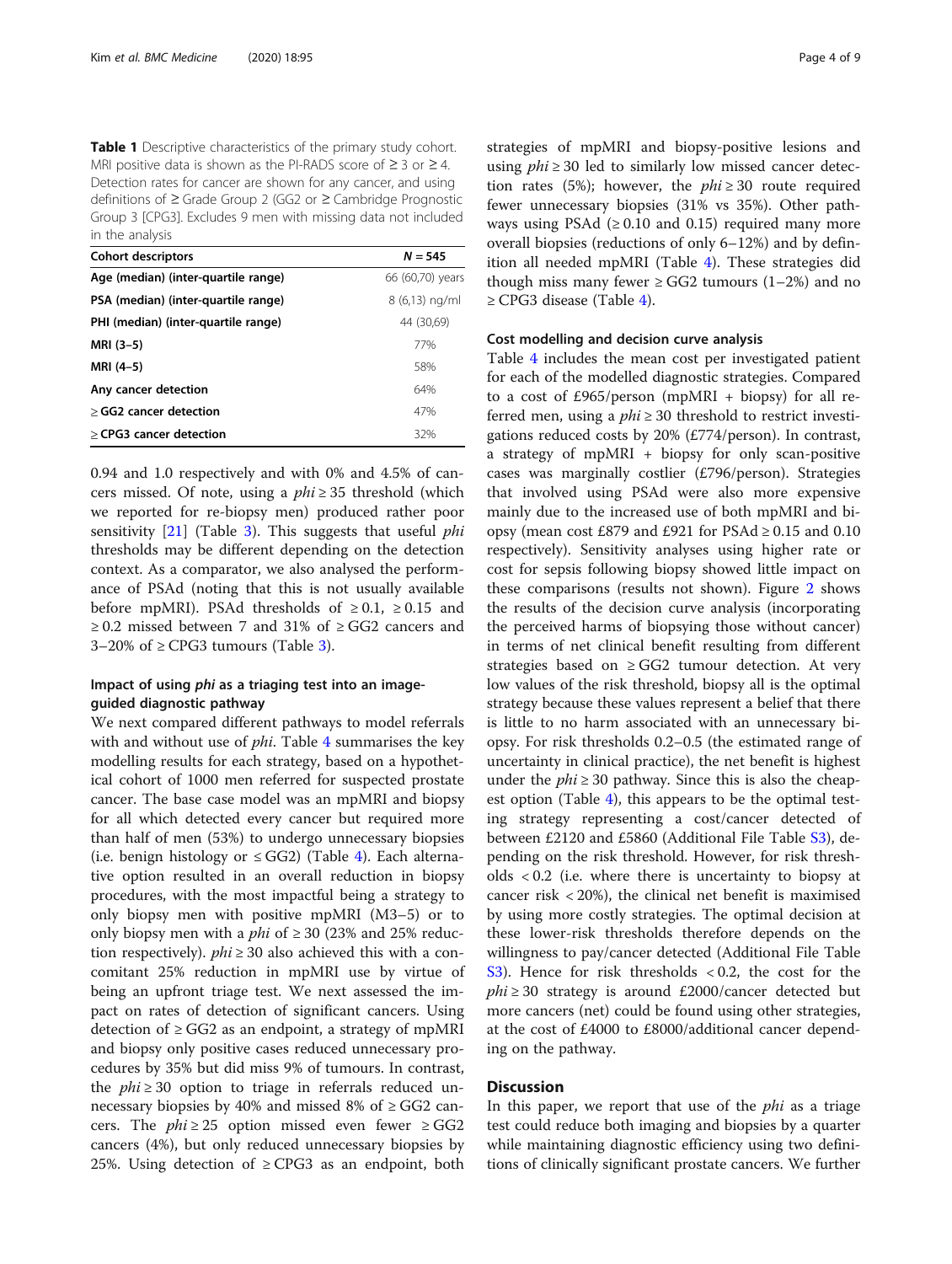<span id="page-3-0"></span>Table 1 Descriptive characteristics of the primary study cohort. MRI positive data is shown as the PI-RADS score of  $\geq 3$  or  $\geq 4$ . Detection rates for cancer are shown for any cancer, and using definitions of ≥ Grade Group 2 (GG2 or ≥ Cambridge Prognostic Group 3 [CPG3]. Excludes 9 men with missing data not included in the analysis

| <b>Cohort descriptors</b>           | $N = 545$        |
|-------------------------------------|------------------|
| Age (median) (inter-quartile range) | 66 (60,70) years |
| PSA (median) (inter-quartile range) | 8 (6,13) ng/ml   |
| PHI (median) (inter-quartile range) | 44 (30,69)       |
| MRI (3-5)                           | 77%              |
| MRI (4–5)                           | 58%              |
| Any cancer detection                | 64%              |
| > GG2 cancer detection              | 47%              |
| > CPG3 cancer detection             | 32%              |

0.94 and 1.0 respectively and with 0% and 4.5% of cancers missed. Of note, using a  $phi \geq 35$  threshold (which we reported for re-biopsy men) produced rather poor sensitivity  $[21]$  $[21]$  $[21]$  (Table [3\)](#page-5-0). This suggests that useful *phi* thresholds may be different depending on the detection context. As a comparator, we also analysed the performance of PSAd (noting that this is not usually available before mpMRI). PSAd thresholds of  $\geq 0.1$ ,  $\geq 0.15$  and ≥ 0.2 missed between 7 and 31% of ≥ GG2 cancers and [3](#page-5-0)–20% of  $\geq$  CPG3 tumours (Table 3).

#### Impact of using phi as a triaging test into an imageguided diagnostic pathway

We next compared different pathways to model referrals with and without use of *phi*. Table [4](#page-6-0) summarises the key modelling results for each strategy, based on a hypothetical cohort of 1000 men referred for suspected prostate cancer. The base case model was an mpMRI and biopsy for all which detected every cancer but required more than half of men (53%) to undergo unnecessary biopsies (i.e. benign histology or  $\leq$  GG2) (Table [4\)](#page-6-0). Each alternative option resulted in an overall reduction in biopsy procedures, with the most impactful being a strategy to only biopsy men with positive mpMRI (M3–5) or to only biopsy men with a *phi* of  $\geq$  30 (23% and 25% reduction respectively).  $phi \geq 30$  also achieved this with a concomitant 25% reduction in mpMRI use by virtue of being an upfront triage test. We next assessed the impact on rates of detection of significant cancers. Using detection of  $\geq$  GG2 as an endpoint, a strategy of mpMRI and biopsy only positive cases reduced unnecessary procedures by 35% but did miss 9% of tumours. In contrast, the  $phi \geq 30$  option to triage in referrals reduced unnecessary biopsies by 40% and missed 8% of  $\geq$  GG2 cancers. The *phi*  $\geq$  25 option missed even fewer  $\geq$  GG2 cancers (4%), but only reduced unnecessary biopsies by 25%. Using detection of  $\geq$  CPG3 as an endpoint, both strategies of mpMRI and biopsy-positive lesions and using  $phi \geq 30$  led to similarly low missed cancer detection rates (5%); however, the  $phi \geq 30$  route required fewer unnecessary biopsies (31% vs 35%). Other pathways using PSAd  $(≥ 0.10$  and 0.15) required many more overall biopsies (reductions of only 6–12%) and by definition all needed mpMRI (Table [4](#page-6-0)). These strategies did though miss many fewer ≥ GG2 tumours  $(1-2%)$  and no ≥ CPG3 disease (Table [4\)](#page-6-0).

#### Cost modelling and decision curve analysis

Table [4](#page-6-0) includes the mean cost per investigated patient for each of the modelled diagnostic strategies. Compared to a cost of £965/person (mpMRI + biopsy) for all referred men, using a  $phi \geq 30$  threshold to restrict investigations reduced costs by 20% (£774/person). In contrast, a strategy of mpMRI + biopsy for only scan-positive cases was marginally costlier (£796/person). Strategies that involved using PSAd were also more expensive mainly due to the increased use of both mpMRI and biopsy (mean cost £879 and £921 for PSAd  $\geq$  0.15 and 0.10 respectively). Sensitivity analyses using higher rate or cost for sepsis following biopsy showed little impact on these comparisons (results not shown). Figure [2](#page-6-0) shows the results of the decision curve analysis (incorporating the perceived harms of biopsying those without cancer) in terms of net clinical benefit resulting from different strategies based on  $\geq$  GG2 tumour detection. At very low values of the risk threshold, biopsy all is the optimal strategy because these values represent a belief that there is little to no harm associated with an unnecessary biopsy. For risk thresholds 0.2–0.5 (the estimated range of uncertainty in clinical practice), the net benefit is highest under the  $phi \geq 30$  pathway. Since this is also the cheapest option (Table [4\)](#page-6-0), this appears to be the optimal testing strategy representing a cost/cancer detected of between £2120 and £5860 (Additional File Table [S3](#page-7-0)), depending on the risk threshold. However, for risk thresholds < 0.2 (i.e. where there is uncertainty to biopsy at cancer risk < 20%), the clinical net benefit is maximised by using more costly strategies. The optimal decision at these lower-risk thresholds therefore depends on the willingness to pay/cancer detected (Additional File Table [S3\)](#page-7-0). Hence for risk thresholds  $< 0.2$ , the cost for the  $phi \geq 30$  strategy is around £2000/cancer detected but more cancers (net) could be found using other strategies, at the cost of £4000 to £8000/additional cancer depending on the pathway.

#### **Discussion**

In this paper, we report that use of the *phi* as a triage test could reduce both imaging and biopsies by a quarter while maintaining diagnostic efficiency using two definitions of clinically significant prostate cancers. We further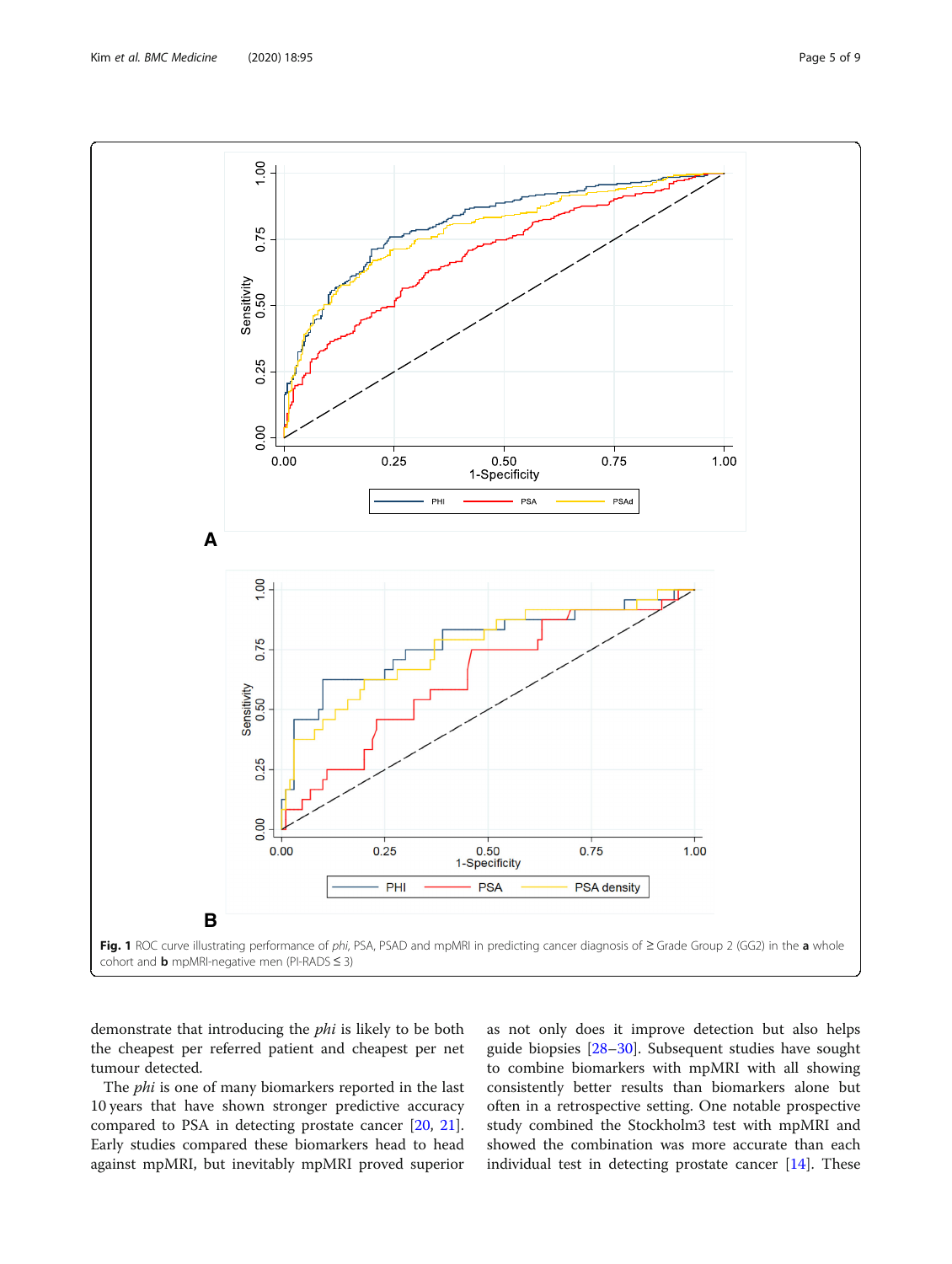<span id="page-4-0"></span>

demonstrate that introducing the phi is likely to be both the cheapest per referred patient and cheapest per net tumour detected.

The *phi* is one of many biomarkers reported in the last 10 years that have shown stronger predictive accuracy compared to PSA in detecting prostate cancer [\[20](#page-8-0), [21](#page-8-0)]. Early studies compared these biomarkers head to head against mpMRI, but inevitably mpMRI proved superior as not only does it improve detection but also helps guide biopsies [\[28](#page-8-0)–[30](#page-8-0)]. Subsequent studies have sought to combine biomarkers with mpMRI with all showing consistently better results than biomarkers alone but often in a retrospective setting. One notable prospective study combined the Stockholm3 test with mpMRI and showed the combination was more accurate than each individual test in detecting prostate cancer [[14](#page-7-0)]. These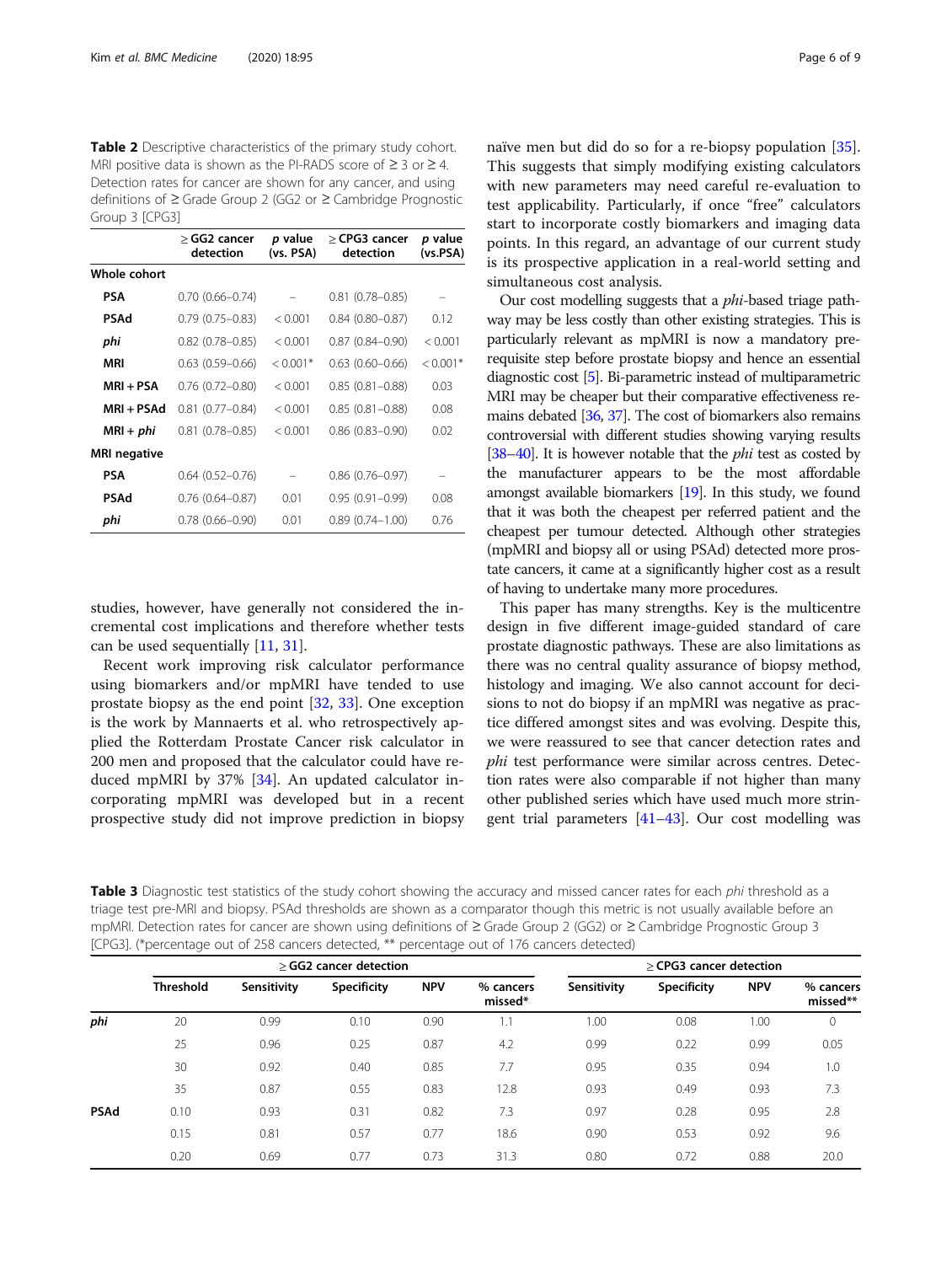<span id="page-5-0"></span>Table 2 Descriptive characteristics of the primary study cohort. MRI positive data is shown as the PI-RADS score of ≥ 3 or ≥ 4. Detection rates for cancer are shown for any cancer, and using definitions of ≥ Grade Group 2 (GG2 or ≥ Cambridge Prognostic Group 3 [CPG3]

|              | $\geq$ GG2 cancer<br>detection | p value<br>(vs. PSA) | > CPG3 cancer<br>detection | <i>p</i> value<br>(vs.PSA) |
|--------------|--------------------------------|----------------------|----------------------------|----------------------------|
| Whole cohort |                                |                      |                            |                            |
| PSA          | $0.70$ $(0.66 - 0.74)$         |                      | $0.81$ (0.78-0.85)         |                            |
| PSAd         | $0.79(0.75 - 0.83)$            | < 0.001              | $0.84(0.80 - 0.87)$        | 0.12                       |
| phi          | $0.82$ (0.78-0.85)             | < 0.001              | $0.87(0.84 - 0.90)$        | < 0.001                    |
| MRI          | $0.63$ $(0.59 - 0.66)$         | $< 0.001*$           | $0.63$ $(0.60 - 0.66)$     | $< 0.001*$                 |
| MRI + PSA    | $0.76$ $(0.72 - 0.80)$         | < 0.001              | $0.85(0.81 - 0.88)$        | 0.03                       |
| MRI + PSAd   | $0.81$ $(0.77 - 0.84)$         | < 0.001              | $0.85(0.81 - 0.88)$        | 0.08                       |
| $MRI + phi$  | $0.81(0.78 - 0.85)$            | < 0.001              | $0.86(0.83 - 0.90)$        | 0.02                       |
| MRI negative |                                |                      |                            |                            |
| PSA          | $0.64(0.52 - 0.76)$            |                      | $0.86(0.76 - 0.97)$        |                            |
| PSAd         | $0.76(0.64 - 0.87)$            | 0.01                 | $0.95(0.91 - 0.99)$        | 0.08                       |
| phi          | $0.78(0.66 - 0.90)$            | 0.01                 | $0.89(0.74 - 1.00)$        | 0.76                       |

studies, however, have generally not considered the incremental cost implications and therefore whether tests can be used sequentially [\[11](#page-7-0), [31\]](#page-8-0).

Recent work improving risk calculator performance using biomarkers and/or mpMRI have tended to use prostate biopsy as the end point [\[32](#page-8-0), [33\]](#page-8-0). One exception is the work by Mannaerts et al. who retrospectively applied the Rotterdam Prostate Cancer risk calculator in 200 men and proposed that the calculator could have reduced mpMRI by 37% [\[34](#page-8-0)]. An updated calculator incorporating mpMRI was developed but in a recent prospective study did not improve prediction in biopsy naïve men but did do so for a re-biopsy population [\[35](#page-8-0)]. This suggests that simply modifying existing calculators with new parameters may need careful re-evaluation to test applicability. Particularly, if once "free" calculators start to incorporate costly biomarkers and imaging data points. In this regard, an advantage of our current study is its prospective application in a real-world setting and simultaneous cost analysis.

Our cost modelling suggests that a phi-based triage pathway may be less costly than other existing strategies. This is particularly relevant as mpMRI is now a mandatory prerequisite step before prostate biopsy and hence an essential diagnostic cost [[5](#page-7-0)]. Bi-parametric instead of multiparametric MRI may be cheaper but their comparative effectiveness remains debated [\[36,](#page-8-0) [37\]](#page-8-0). The cost of biomarkers also remains controversial with different studies showing varying results [[38](#page-8-0)–[40\]](#page-8-0). It is however notable that the  $phi$  test as costed by the manufacturer appears to be the most affordable amongst available biomarkers [\[19](#page-8-0)]. In this study, we found that it was both the cheapest per referred patient and the cheapest per tumour detected. Although other strategies (mpMRI and biopsy all or using PSAd) detected more prostate cancers, it came at a significantly higher cost as a result of having to undertake many more procedures.

This paper has many strengths. Key is the multicentre design in five different image-guided standard of care prostate diagnostic pathways. These are also limitations as there was no central quality assurance of biopsy method, histology and imaging. We also cannot account for decisions to not do biopsy if an mpMRI was negative as practice differed amongst sites and was evolving. Despite this, we were reassured to see that cancer detection rates and phi test performance were similar across centres. Detection rates were also comparable if not higher than many other published series which have used much more stringent trial parameters [[41](#page-8-0)–[43\]](#page-8-0). Our cost modelling was

Table 3 Diagnostic test statistics of the study cohort showing the accuracy and missed cancer rates for each phi threshold as a triage test pre-MRI and biopsy. PSAd thresholds are shown as a comparator though this metric is not usually available before an mpMRI. Detection rates for cancer are shown using definitions of ≥ Grade Group 2 (GG2) or ≥ Cambridge Prognostic Group 3 [CPG3]. (\*percentage out of 258 cancers detected, \*\* percentage out of 176 cancers detected)

|             | > GG2 cancer detection |             |                    |            | > CPG3 cancer detection |             |                    |            |                       |
|-------------|------------------------|-------------|--------------------|------------|-------------------------|-------------|--------------------|------------|-----------------------|
|             | <b>Threshold</b>       | Sensitivity | <b>Specificity</b> | <b>NPV</b> | % cancers<br>missed*    | Sensitivity | <b>Specificity</b> | <b>NPV</b> | % cancers<br>missed** |
| phi         | 20                     | 0.99        | 0.10               | 0.90       | 1.1                     | 1.00        | 0.08               | 1.00       | 0                     |
|             | 25                     | 0.96        | 0.25               | 0.87       | 4.2                     | 0.99        | 0.22               | 0.99       | 0.05                  |
|             | 30                     | 0.92        | 0.40               | 0.85       | 7.7                     | 0.95        | 0.35               | 0.94       | 1.0                   |
|             | 35                     | 0.87        | 0.55               | 0.83       | 12.8                    | 0.93        | 0.49               | 0.93       | 7.3                   |
| <b>PSAd</b> | 0.10                   | 0.93        | 0.31               | 0.82       | 7.3                     | 0.97        | 0.28               | 0.95       | 2.8                   |
|             | 0.15                   | 0.81        | 0.57               | 0.77       | 18.6                    | 0.90        | 0.53               | 0.92       | 9.6                   |
|             | 0.20                   | 0.69        | 0.77               | 0.73       | 31.3                    | 0.80        | 0.72               | 0.88       | 20.0                  |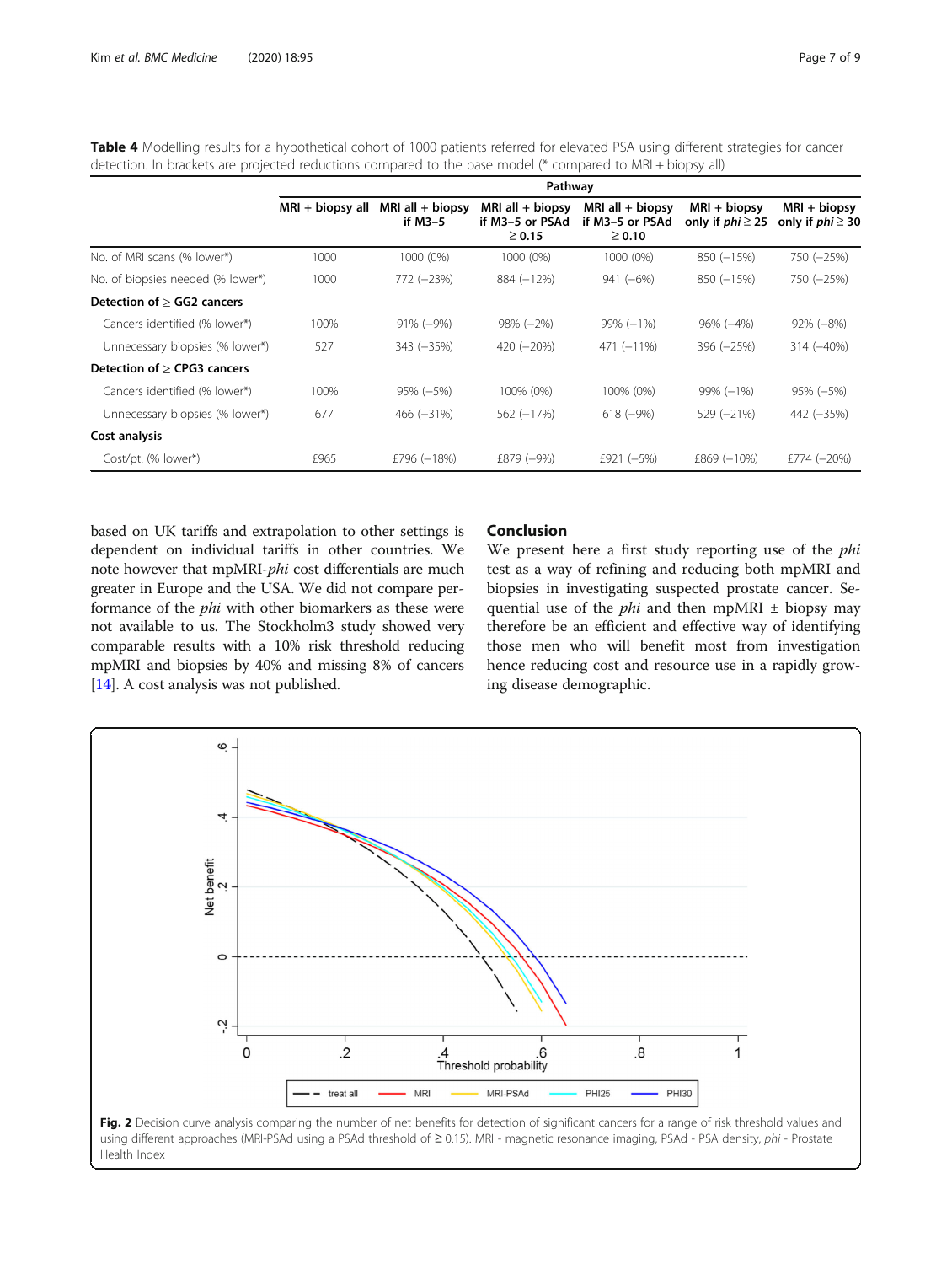| detection. In brackets are projected reductions compared to the base model (^ compared to MRI + biopsy all) |                   |                               |                                                      |                                                      |                                        |                                        |  |  |
|-------------------------------------------------------------------------------------------------------------|-------------------|-------------------------------|------------------------------------------------------|------------------------------------------------------|----------------------------------------|----------------------------------------|--|--|
|                                                                                                             | Pathway           |                               |                                                      |                                                      |                                        |                                        |  |  |
|                                                                                                             | $MRI + biopy all$ | MRI all $+$ biopsy<br>if M3-5 | MRI all $+$ biopsy<br>if M3-5 or PSAd<br>$\geq 0.15$ | MRI all $+$ biopsy<br>if M3-5 or PSAd<br>$\geq 0.10$ | $MRI + biopy$<br>only if $phi \geq 25$ | $MRI + biopy$<br>only if $phi \geq 30$ |  |  |
| No. of MRI scans (% lower*)                                                                                 | 1000              | 1000 (0%)                     | 1000 (0%)                                            | 1000 (0%)                                            | $850(-15%)$                            | 750 (-25%)                             |  |  |
| No. of biopsies needed (% lower*)                                                                           | 1000              | 772 (-23%)                    | 884 (-12%)                                           | $941 (-6%)$                                          | $850(-15%)$                            | 750 (-25%)                             |  |  |
| Detection of > GG2 cancers                                                                                  |                   |                               |                                                      |                                                      |                                        |                                        |  |  |
| Cancers identified (% lower*)                                                                               | 100%              | $91\% (-9\%)$                 | $98\% (-2\%)$                                        | $99\% (-1\%)$                                        | $96\% (-4\%)$                          | $92\% (-8\%)$                          |  |  |
| Unnecessary biopsies (% lower*)                                                                             | 527               | $343 (-35%)$                  | $420 (-20\%)$                                        | $471 (-11\%)$                                        | 396 (-25%)                             | $314 (-40\%)$                          |  |  |
| Detection of > CPG3 cancers                                                                                 |                   |                               |                                                      |                                                      |                                        |                                        |  |  |
| Cancers identified (% lower*)                                                                               | 100%              | $95\% (-5\%)$                 | 100% (0%)                                            | 100% (0%)                                            | $99\% (-1\%)$                          | 95% (-5%)                              |  |  |
| Unnecessary biopsies (% lower*)                                                                             | 677               | $466 (-31\%)$                 | 562 (-17%)                                           | $618 (-9%)$                                          | 529 (-21%)                             | 442 (-35%)                             |  |  |
| Cost analysis                                                                                               |                   |                               |                                                      |                                                      |                                        |                                        |  |  |
| Cost/pt. (% lower*)                                                                                         | £965              | £796 (-18%)                   | £879 (-9%)                                           | £921 $(-5%)$                                         | $£869 (-10%)$                          | £774 $(-20%)$                          |  |  |

<span id="page-6-0"></span>Table 4 Modelling results for a hypothetical cohort of 1000 patients referred for elevated PSA using different strategies for cancer detection. In brackets are projected reductions compared to the base model (\* compared to MRI + biopsy all)

based on UK tariffs and extrapolation to other settings is dependent on individual tariffs in other countries. We note however that mpMRI-phi cost differentials are much greater in Europe and the USA. We did not compare performance of the phi with other biomarkers as these were not available to us. The Stockholm3 study showed very comparable results with a 10% risk threshold reducing mpMRI and biopsies by 40% and missing 8% of cancers [[14](#page-7-0)]. A cost analysis was not published.

#### Conclusion

We present here a first study reporting use of the *phi* test as a way of refining and reducing both mpMRI and biopsies in investigating suspected prostate cancer. Sequential use of the *phi* and then mpMRI  $\pm$  biopsy may therefore be an efficient and effective way of identifying those men who will benefit most from investigation hence reducing cost and resource use in a rapidly growing disease demographic.



using different approaches (MRI-PSAd using a PSAd threshold of ≥ 0.15). MRI - magnetic resonance imaging, PSAd - PSA density, phi - Prostate Health Index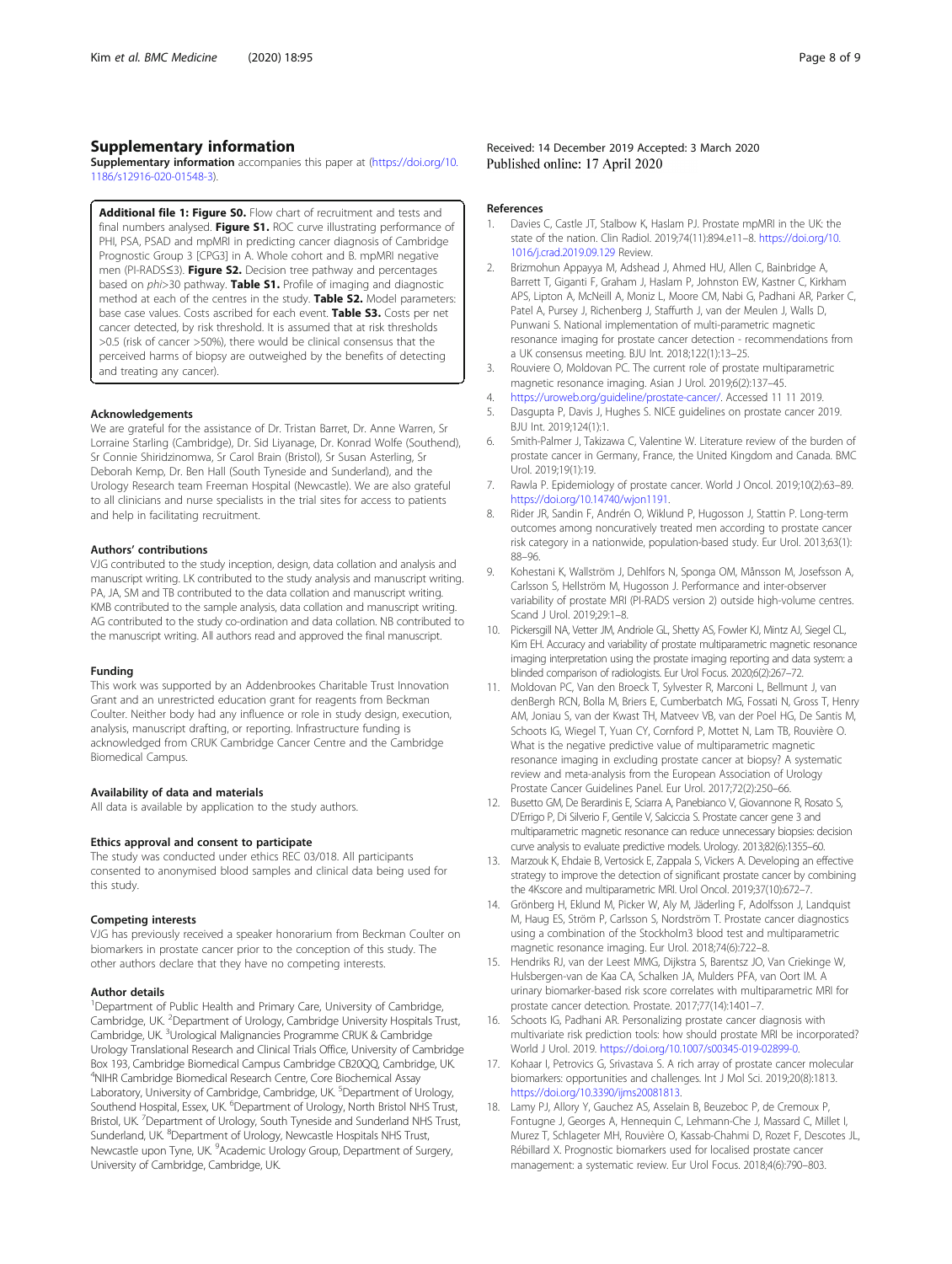#### <span id="page-7-0"></span>Supplementary information

Supplementary information accompanies this paper at ([https://doi.org/10.](https://doi.org/10.1186/s12916-020-01548-3) [1186/s12916-020-01548-3](https://doi.org/10.1186/s12916-020-01548-3)).

Additional file 1: Figure S0. Flow chart of recruitment and tests and final numbers analysed. Figure S1. ROC curve illustrating performance of PHI, PSA, PSAD and mpMRI in predicting cancer diagnosis of Cambridge Prognostic Group 3 [CPG3] in A. Whole cohort and B. mpMRI negative men (PI-RADS≤3). Figure S2. Decision tree pathway and percentages based on phi>30 pathway. Table S1. Profile of imaging and diagnostic method at each of the centres in the study. Table S2. Model parameters: base case values. Costs ascribed for each event. Table S3. Costs per net cancer detected, by risk threshold. It is assumed that at risk thresholds >0.5 (risk of cancer >50%), there would be clinical consensus that the perceived harms of biopsy are outweighed by the benefits of detecting and treating any cancer).

#### Acknowledgements

We are grateful for the assistance of Dr. Tristan Barret, Dr. Anne Warren, Sr Lorraine Starling (Cambridge), Dr. Sid Liyanage, Dr. Konrad Wolfe (Southend), Sr Connie Shiridzinomwa, Sr Carol Brain (Bristol), Sr Susan Asterling, Sr Deborah Kemp, Dr. Ben Hall (South Tyneside and Sunderland), and the Urology Research team Freeman Hospital (Newcastle). We are also grateful to all clinicians and nurse specialists in the trial sites for access to patients and help in facilitating recruitment.

#### Authors' contributions

VJG contributed to the study inception, design, data collation and analysis and manuscript writing. LK contributed to the study analysis and manuscript writing. PA, JA, SM and TB contributed to the data collation and manuscript writing. KMB contributed to the sample analysis, data collation and manuscript writing. AG contributed to the study co-ordination and data collation. NB contributed to the manuscript writing. All authors read and approved the final manuscript.

#### Funding

This work was supported by an Addenbrookes Charitable Trust Innovation Grant and an unrestricted education grant for reagents from Beckman Coulter. Neither body had any influence or role in study design, execution, analysis, manuscript drafting, or reporting. Infrastructure funding is acknowledged from CRUK Cambridge Cancer Centre and the Cambridge Biomedical Campus.

#### Availability of data and materials

All data is available by application to the study authors.

#### Ethics approval and consent to participate

The study was conducted under ethics REC 03/018. All participants consented to anonymised blood samples and clinical data being used for this study.

#### Competing interests

VJG has previously received a speaker honorarium from Beckman Coulter on biomarkers in prostate cancer prior to the conception of this study. The other authors declare that they have no competing interests.

#### Author details

<sup>1</sup>Department of Public Health and Primary Care, University of Cambridge, Cambridge, UK. <sup>2</sup>Department of Urology, Cambridge University Hospitals Trust, Cambridge, UK.<sup>3</sup>Urological Malignancies Programme CRUK & Cambridge Urology Translational Research and Clinical Trials Office, University of Cambridge Box 193, Cambridge Biomedical Campus Cambridge CB20QQ, Cambridge, UK. 4 NIHR Cambridge Biomedical Research Centre, Core Biochemical Assay Laboratory, University of Cambridge, Cambridge, UK. <sup>5</sup>Department of Urology, Southend Hospital, Essex, UK. <sup>6</sup>Department of Urology, North Bristol NHS Trust, Bristol, UK.<sup>7</sup> Department of Urology, South Tyneside and Sunderland NHS Trust, Sunderland, UK. <sup>8</sup>Department of Urology, Newcastle Hospitals NHS Trust, Newcastle upon Tyne, UK. <sup>9</sup>Academic Urology Group, Department of Surgery, University of Cambridge, Cambridge, UK.

#### References

- 1. Davies C, Castle JT, Stalbow K, Haslam PJ. Prostate mpMRI in the UK: the state of the nation. Clin Radiol. 2019;74(11):894.e11–8. [https://doi.org/10.](https://doi.org/10.1016/j.crad.2019.09.129) [1016/j.crad.2019.09.129](https://doi.org/10.1016/j.crad.2019.09.129) Review.
- 2. Brizmohun Appayya M, Adshead J, Ahmed HU, Allen C, Bainbridge A, Barrett T, Giganti F, Graham J, Haslam P, Johnston EW, Kastner C, Kirkham APS, Lipton A, McNeill A, Moniz L, Moore CM, Nabi G, Padhani AR, Parker C, Patel A, Pursey J, Richenberg J, Staffurth J, van der Meulen J, Walls D, Punwani S. National implementation of multi-parametric magnetic resonance imaging for prostate cancer detection - recommendations from a UK consensus meeting. BJU Int. 2018;122(1):13–25.
- 3. Rouviere O, Moldovan PC. The current role of prostate multiparametric magnetic resonance imaging. Asian J Urol. 2019;6(2):137–45.
- 4. <https://uroweb.org/guideline/prostate-cancer/>. Accessed 11 11 2019.
- 5. Dasgupta P, Davis J, Hughes S. NICE guidelines on prostate cancer 2019. BJU Int. 2019;124(1):1.
- 6. Smith-Palmer J, Takizawa C, Valentine W. Literature review of the burden of prostate cancer in Germany, France, the United Kingdom and Canada. BMC Urol. 2019;19(1):19.
- 7. Rawla P. Epidemiology of prostate cancer. World J Oncol. 2019;10(2):63–89. <https://doi.org/10.14740/wjon1191>.
- 8. Rider JR, Sandin F, Andrén O, Wiklund P, Hugosson J, Stattin P. Long-term outcomes among noncuratively treated men according to prostate cancer risk category in a nationwide, population-based study. Eur Urol. 2013;63(1): 88–96.
- 9. Kohestani K, Wallström J, Dehlfors N, Sponga OM, Månsson M, Josefsson A, Carlsson S, Hellström M, Hugosson J. Performance and inter-observer variability of prostate MRI (PI-RADS version 2) outside high-volume centres. Scand J Urol. 2019;29:1–8.
- 10. Pickersgill NA, Vetter JM, Andriole GL, Shetty AS, Fowler KJ, Mintz AJ, Siegel CL, Kim EH. Accuracy and variability of prostate multiparametric magnetic resonance imaging interpretation using the prostate imaging reporting and data system: a blinded comparison of radiologists. Eur Urol Focus. 2020;6(2):267–72.
- 11. Moldovan PC, Van den Broeck T, Sylvester R, Marconi L, Bellmunt J, van denBergh RCN, Bolla M, Briers E, Cumberbatch MG, Fossati N, Gross T, Henry AM, Joniau S, van der Kwast TH, Matveev VB, van der Poel HG, De Santis M, Schoots IG, Wiegel T, Yuan CY, Cornford P, Mottet N, Lam TB, Rouvière O. What is the negative predictive value of multiparametric magnetic resonance imaging in excluding prostate cancer at biopsy? A systematic review and meta-analysis from the European Association of Urology Prostate Cancer Guidelines Panel. Eur Urol. 2017;72(2):250–66.
- 12. Busetto GM, De Berardinis E, Sciarra A, Panebianco V, Giovannone R, Rosato S, D'Errigo P, Di Silverio F, Gentile V, Salciccia S. Prostate cancer gene 3 and multiparametric magnetic resonance can reduce unnecessary biopsies: decision curve analysis to evaluate predictive models. Urology. 2013;82(6):1355–60.
- 13. Marzouk K, Ehdaie B, Vertosick E, Zappala S, Vickers A. Developing an effective strategy to improve the detection of significant prostate cancer by combining the 4Kscore and multiparametric MRI. Urol Oncol. 2019;37(10):672–7.
- 14. Grönberg H, Eklund M, Picker W, Aly M, Jäderling F, Adolfsson J, Landquist M, Haug ES, Ström P, Carlsson S, Nordström T. Prostate cancer diagnostics using a combination of the Stockholm3 blood test and multiparametric magnetic resonance imaging. Eur Urol. 2018;74(6):722–8.
- 15. Hendriks RJ, van der Leest MMG, Dijkstra S, Barentsz JO, Van Criekinge W, Hulsbergen-van de Kaa CA, Schalken JA, Mulders PFA, van Oort IM. A urinary biomarker-based risk score correlates with multiparametric MRI for prostate cancer detection. Prostate. 2017;77(14):1401–7.
- 16. Schoots IG, Padhani AR. Personalizing prostate cancer diagnosis with multivariate risk prediction tools: how should prostate MRI be incorporated? World J Urol. 2019. <https://doi.org/10.1007/s00345-019-02899-0>.
- 17. Kohaar I, Petrovics G, Srivastava S. A rich array of prostate cancer molecular biomarkers: opportunities and challenges. Int J Mol Sci. 2019;20(8):1813. [https://doi.org/10.3390/ijms20081813.](https://doi.org/10.3390/ijms20081813)
- 18. Lamy PJ, Allory Y, Gauchez AS, Asselain B, Beuzeboc P, de Cremoux P, Fontugne J, Georges A, Hennequin C, Lehmann-Che J, Massard C, Millet I, Murez T, Schlageter MH, Rouvière O, Kassab-Chahmi D, Rozet F, Descotes JL, Rébillard X. Prognostic biomarkers used for localised prostate cancer management: a systematic review. Eur Urol Focus. 2018;4(6):790–803.